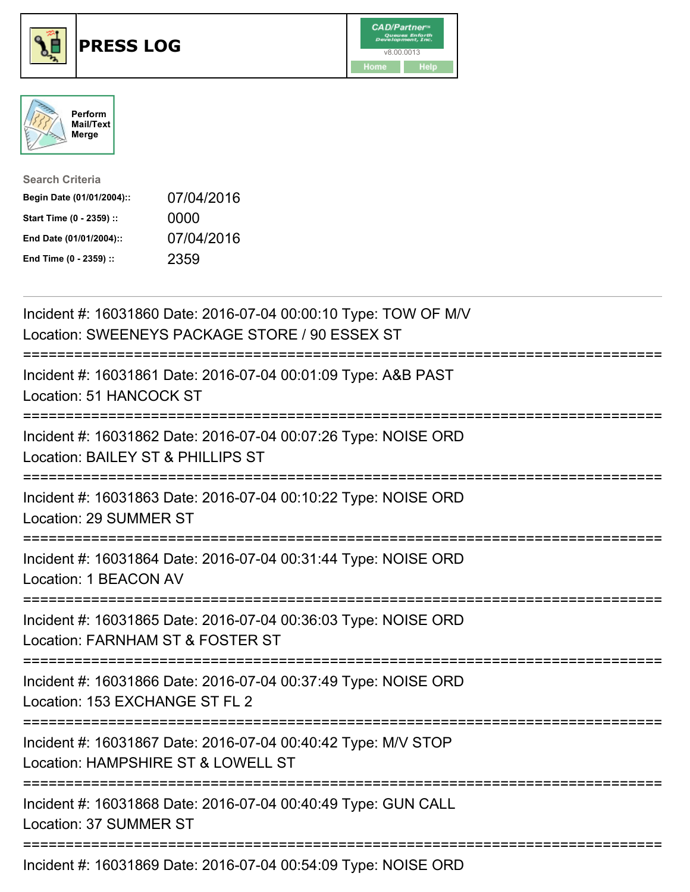





| <b>Search Criteria</b>    |            |
|---------------------------|------------|
| Begin Date (01/01/2004):: | 07/04/2016 |
| Start Time (0 - 2359) ::  | 0000       |
| End Date (01/01/2004)::   | 07/04/2016 |
| End Time (0 - 2359) ::    | 2359       |

| Incident #: 16031860 Date: 2016-07-04 00:00:10 Type: TOW OF M/V<br>Location: SWEENEYS PACKAGE STORE / 90 ESSEX ST |
|-------------------------------------------------------------------------------------------------------------------|
| Incident #: 16031861 Date: 2016-07-04 00:01:09 Type: A&B PAST<br>Location: 51 HANCOCK ST                          |
| Incident #: 16031862 Date: 2016-07-04 00:07:26 Type: NOISE ORD<br>Location: BAILEY ST & PHILLIPS ST               |
| Incident #: 16031863 Date: 2016-07-04 00:10:22 Type: NOISE ORD<br>Location: 29 SUMMER ST                          |
| Incident #: 16031864 Date: 2016-07-04 00:31:44 Type: NOISE ORD<br>Location: 1 BEACON AV                           |
| Incident #: 16031865 Date: 2016-07-04 00:36:03 Type: NOISE ORD<br>Location: FARNHAM ST & FOSTER ST                |
| Incident #: 16031866 Date: 2016-07-04 00:37:49 Type: NOISE ORD<br>Location: 153 EXCHANGE ST FL 2                  |
| Incident #: 16031867 Date: 2016-07-04 00:40:42 Type: M/V STOP<br>Location: HAMPSHIRE ST & LOWELL ST               |
| Incident #: 16031868 Date: 2016-07-04 00:40:49 Type: GUN CALL<br><b>Location: 37 SUMMER ST</b>                    |
| $1.11.1$ $1.1.40001000001$ $0.0100701000100000$ $1.0007$ $0.0007$ $0.000$                                         |

Incident #: 16031869 Date: 2016-07-04 00:54:09 Type: NOISE ORD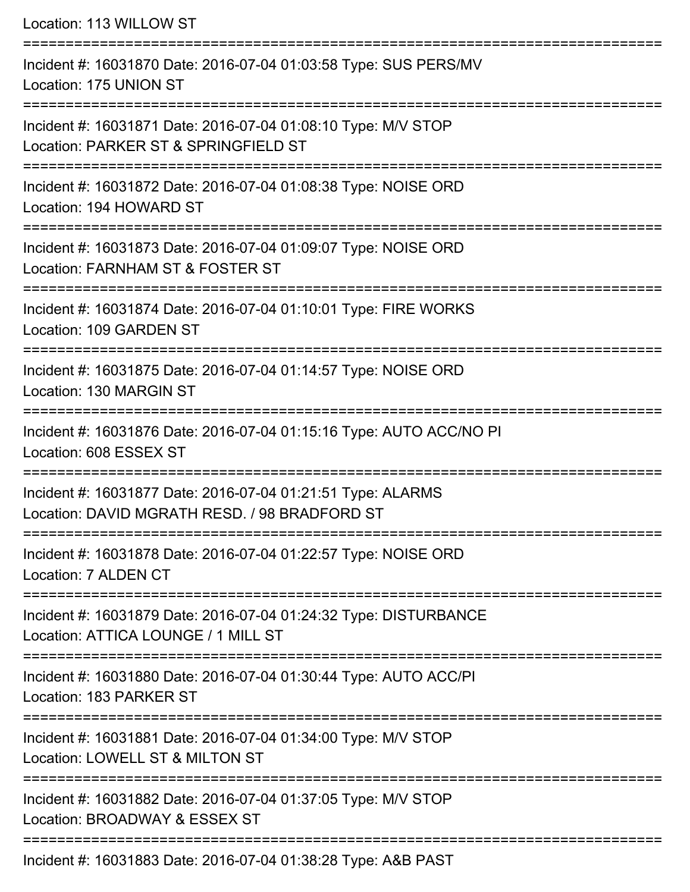| Location: 113 WILLOW ST<br>:==================                                                                    |
|-------------------------------------------------------------------------------------------------------------------|
| Incident #: 16031870 Date: 2016-07-04 01:03:58 Type: SUS PERS/MV<br>Location: 175 UNION ST                        |
| Incident #: 16031871 Date: 2016-07-04 01:08:10 Type: M/V STOP<br>Location: PARKER ST & SPRINGFIELD ST             |
| Incident #: 16031872 Date: 2016-07-04 01:08:38 Type: NOISE ORD<br>Location: 194 HOWARD ST                         |
| Incident #: 16031873 Date: 2016-07-04 01:09:07 Type: NOISE ORD<br>Location: FARNHAM ST & FOSTER ST                |
| Incident #: 16031874 Date: 2016-07-04 01:10:01 Type: FIRE WORKS<br>Location: 109 GARDEN ST                        |
| Incident #: 16031875 Date: 2016-07-04 01:14:57 Type: NOISE ORD<br>Location: 130 MARGIN ST                         |
| ----------------<br>Incident #: 16031876 Date: 2016-07-04 01:15:16 Type: AUTO ACC/NO PI<br>Location: 608 ESSEX ST |
| Incident #: 16031877 Date: 2016-07-04 01:21:51 Type: ALARMS<br>Location: DAVID MGRATH RESD. / 98 BRADFORD ST      |
| Incident #: 16031878 Date: 2016-07-04 01:22:57 Type: NOISE ORD<br>Location: 7 ALDEN CT                            |
| Incident #: 16031879 Date: 2016-07-04 01:24:32 Type: DISTURBANCE<br>Location: ATTICA LOUNGE / 1 MILL ST           |
| Incident #: 16031880 Date: 2016-07-04 01:30:44 Type: AUTO ACC/PI<br>Location: 183 PARKER ST                       |
| Incident #: 16031881 Date: 2016-07-04 01:34:00 Type: M/V STOP<br>Location: LOWELL ST & MILTON ST                  |
| Incident #: 16031882 Date: 2016-07-04 01:37:05 Type: M/V STOP<br>Location: BROADWAY & ESSEX ST                    |
| Incident #: 16031883 Date: 2016-07-04 01:38:28 Type: A&B PAST                                                     |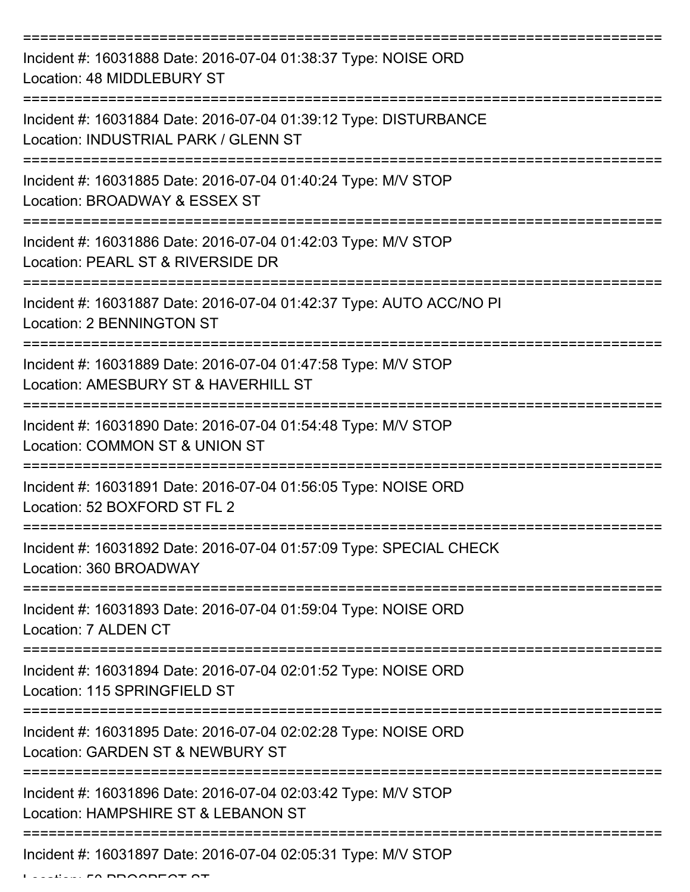| Incident #: 16031888 Date: 2016-07-04 01:38:37 Type: NOISE ORD<br>Location: 48 MIDDLEBURY ST             |
|----------------------------------------------------------------------------------------------------------|
| Incident #: 16031884 Date: 2016-07-04 01:39:12 Type: DISTURBANCE<br>Location: INDUSTRIAL PARK / GLENN ST |
| Incident #: 16031885 Date: 2016-07-04 01:40:24 Type: M/V STOP<br>Location: BROADWAY & ESSEX ST           |
| Incident #: 16031886 Date: 2016-07-04 01:42:03 Type: M/V STOP<br>Location: PEARL ST & RIVERSIDE DR       |
| Incident #: 16031887 Date: 2016-07-04 01:42:37 Type: AUTO ACC/NO PI<br><b>Location: 2 BENNINGTON ST</b>  |
| Incident #: 16031889 Date: 2016-07-04 01:47:58 Type: M/V STOP<br>Location: AMESBURY ST & HAVERHILL ST    |
| Incident #: 16031890 Date: 2016-07-04 01:54:48 Type: M/V STOP<br>Location: COMMON ST & UNION ST          |
| Incident #: 16031891 Date: 2016-07-04 01:56:05 Type: NOISE ORD<br>Location: 52 BOXFORD ST FL 2           |
| Incident #: 16031892 Date: 2016-07-04 01:57:09 Type: SPECIAL CHECK<br>Location: 360 BROADWAY             |
| Incident #: 16031893 Date: 2016-07-04 01:59:04 Type: NOISE ORD<br>Location: 7 ALDEN CT                   |
| Incident #: 16031894 Date: 2016-07-04 02:01:52 Type: NOISE ORD<br>Location: 115 SPRINGFIELD ST           |
| Incident #: 16031895 Date: 2016-07-04 02:02:28 Type: NOISE ORD<br>Location: GARDEN ST & NEWBURY ST       |
| Incident #: 16031896 Date: 2016-07-04 02:03:42 Type: M/V STOP<br>Location: HAMPSHIRE ST & LEBANON ST     |
| Incident #: 16031897 Date: 2016-07-04 02:05:31 Type: M/V STOP                                            |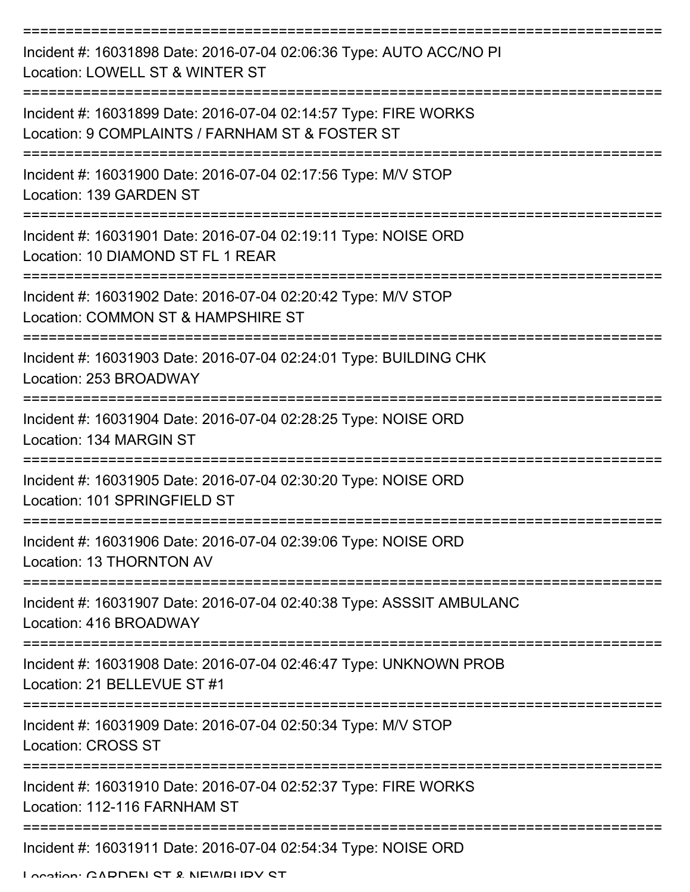| Incident #: 16031898 Date: 2016-07-04 02:06:36 Type: AUTO ACC/NO PI<br>Location: LOWELL ST & WINTER ST              |
|---------------------------------------------------------------------------------------------------------------------|
| Incident #: 16031899 Date: 2016-07-04 02:14:57 Type: FIRE WORKS<br>Location: 9 COMPLAINTS / FARNHAM ST & FOSTER ST  |
| Incident #: 16031900 Date: 2016-07-04 02:17:56 Type: M/V STOP<br>Location: 139 GARDEN ST                            |
| Incident #: 16031901 Date: 2016-07-04 02:19:11 Type: NOISE ORD<br>Location: 10 DIAMOND ST FL 1 REAR                 |
| Incident #: 16031902 Date: 2016-07-04 02:20:42 Type: M/V STOP<br>Location: COMMON ST & HAMPSHIRE ST                 |
| :===================<br>Incident #: 16031903 Date: 2016-07-04 02:24:01 Type: BUILDING CHK<br>Location: 253 BROADWAY |
| Incident #: 16031904 Date: 2016-07-04 02:28:25 Type: NOISE ORD<br>Location: 134 MARGIN ST<br>===================    |
| Incident #: 16031905 Date: 2016-07-04 02:30:20 Type: NOISE ORD<br>Location: 101 SPRINGFIELD ST                      |
| Incident #: 16031906 Date: 2016-07-04 02:39:06 Type: NOISE ORD<br>Location: 13 THORNTON AV                          |
| Incident #: 16031907 Date: 2016-07-04 02:40:38 Type: ASSSIT AMBULANC<br>Location: 416 BROADWAY                      |
| Incident #: 16031908 Date: 2016-07-04 02:46:47 Type: UNKNOWN PROB<br>Location: 21 BELLEVUE ST #1                    |
| Incident #: 16031909 Date: 2016-07-04 02:50:34 Type: M/V STOP<br><b>Location: CROSS ST</b>                          |
| Incident #: 16031910 Date: 2016-07-04 02:52:37 Type: FIRE WORKS<br>Location: 112-116 FARNHAM ST                     |
| Incident #: 16031911 Date: 2016-07-04 02:54:34 Type: NOISE ORD                                                      |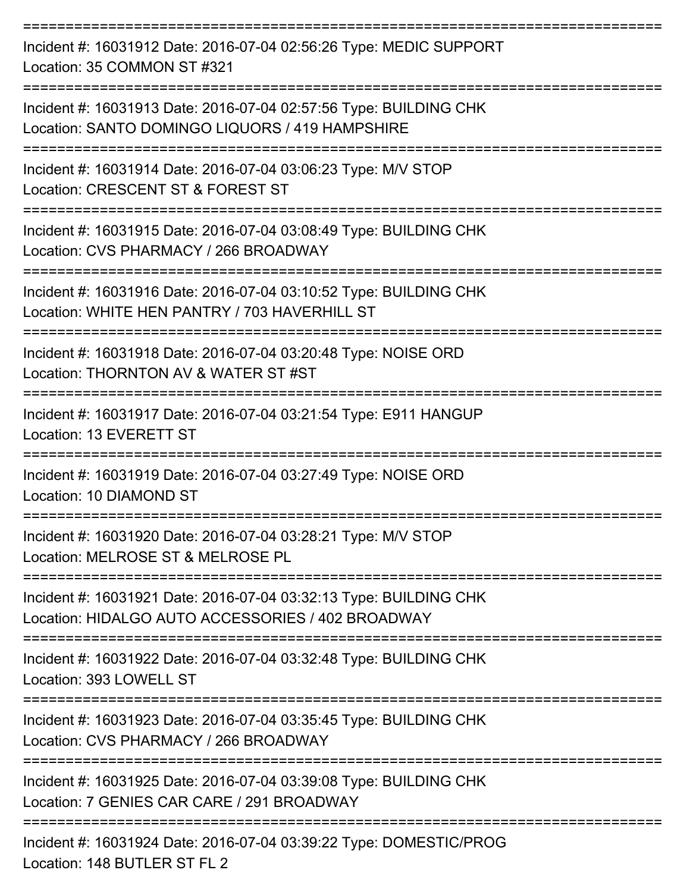| Incident #: 16031912 Date: 2016-07-04 02:56:26 Type: MEDIC SUPPORT<br>Location: 35 COMMON ST #321                      |
|------------------------------------------------------------------------------------------------------------------------|
| Incident #: 16031913 Date: 2016-07-04 02:57:56 Type: BUILDING CHK<br>Location: SANTO DOMINGO LIQUORS / 419 HAMPSHIRE   |
| Incident #: 16031914 Date: 2016-07-04 03:06:23 Type: M/V STOP<br>Location: CRESCENT ST & FOREST ST                     |
| Incident #: 16031915 Date: 2016-07-04 03:08:49 Type: BUILDING CHK<br>Location: CVS PHARMACY / 266 BROADWAY             |
| Incident #: 16031916 Date: 2016-07-04 03:10:52 Type: BUILDING CHK<br>Location: WHITE HEN PANTRY / 703 HAVERHILL ST     |
| Incident #: 16031918 Date: 2016-07-04 03:20:48 Type: NOISE ORD<br>Location: THORNTON AV & WATER ST #ST                 |
| Incident #: 16031917 Date: 2016-07-04 03:21:54 Type: E911 HANGUP<br>Location: 13 EVERETT ST                            |
| Incident #: 16031919 Date: 2016-07-04 03:27:49 Type: NOISE ORD<br>Location: 10 DIAMOND ST                              |
| Incident #: 16031920 Date: 2016-07-04 03:28:21 Type: M/V STOP<br>Location: MELROSE ST & MELROSE PL                     |
| Incident #: 16031921 Date: 2016-07-04 03:32:13 Type: BUILDING CHK<br>Location: HIDALGO AUTO ACCESSORIES / 402 BROADWAY |
| Incident #: 16031922 Date: 2016-07-04 03:32:48 Type: BUILDING CHK<br>Location: 393 LOWELL ST                           |
| Incident #: 16031923 Date: 2016-07-04 03:35:45 Type: BUILDING CHK<br>Location: CVS PHARMACY / 266 BROADWAY             |
| Incident #: 16031925 Date: 2016-07-04 03:39:08 Type: BUILDING CHK<br>Location: 7 GENIES CAR CARE / 291 BROADWAY        |
| Incident #: 16031924 Date: 2016-07-04 03:39:22 Type: DOMESTIC/PROG                                                     |

Location: 148 BUTLER ST FL 2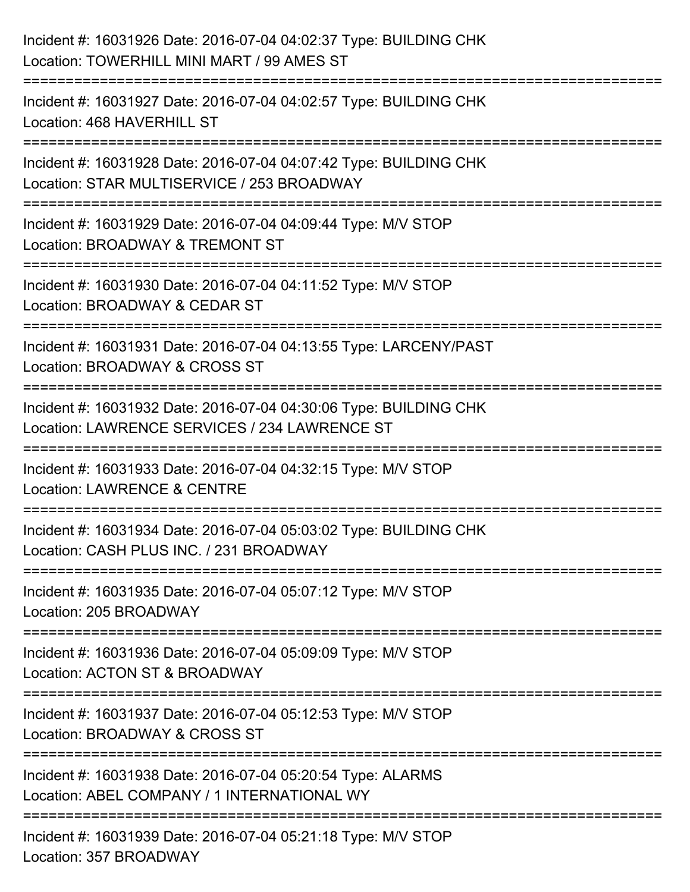| Incident #: 16031926 Date: 2016-07-04 04:02:37 Type: BUILDING CHK<br>Location: TOWERHILL MINI MART / 99 AMES ST               |
|-------------------------------------------------------------------------------------------------------------------------------|
| Incident #: 16031927 Date: 2016-07-04 04:02:57 Type: BUILDING CHK<br>Location: 468 HAVERHILL ST                               |
| Incident #: 16031928 Date: 2016-07-04 04:07:42 Type: BUILDING CHK<br>Location: STAR MULTISERVICE / 253 BROADWAY               |
| Incident #: 16031929 Date: 2016-07-04 04:09:44 Type: M/V STOP<br>Location: BROADWAY & TREMONT ST                              |
| :===================<br>Incident #: 16031930 Date: 2016-07-04 04:11:52 Type: M/V STOP<br>Location: BROADWAY & CEDAR ST        |
| Incident #: 16031931 Date: 2016-07-04 04:13:55 Type: LARCENY/PAST<br>Location: BROADWAY & CROSS ST                            |
| Incident #: 16031932 Date: 2016-07-04 04:30:06 Type: BUILDING CHK<br>Location: LAWRENCE SERVICES / 234 LAWRENCE ST            |
| Incident #: 16031933 Date: 2016-07-04 04:32:15 Type: M/V STOP<br><b>Location: LAWRENCE &amp; CENTRE</b>                       |
| Incident #: 16031934 Date: 2016-07-04 05:03:02 Type: BUILDING CHK<br>Location: CASH PLUS INC. / 231 BROADWAY                  |
| Incident #: 16031935 Date: 2016-07-04 05:07:12 Type: M/V STOP<br>Location: 205 BROADWAY                                       |
| Incident #: 16031936 Date: 2016-07-04 05:09:09 Type: M/V STOP<br>Location: ACTON ST & BROADWAY                                |
| .__________________________<br>Incident #: 16031937 Date: 2016-07-04 05:12:53 Type: M/V STOP<br>Location: BROADWAY & CROSS ST |
| Incident #: 16031938 Date: 2016-07-04 05:20:54 Type: ALARMS<br>Location: ABEL COMPANY / 1 INTERNATIONAL WY                    |
| Incident #: 16031939 Date: 2016-07-04 05:21:18 Type: M/V STOP<br>Location: 357 BROADWAY                                       |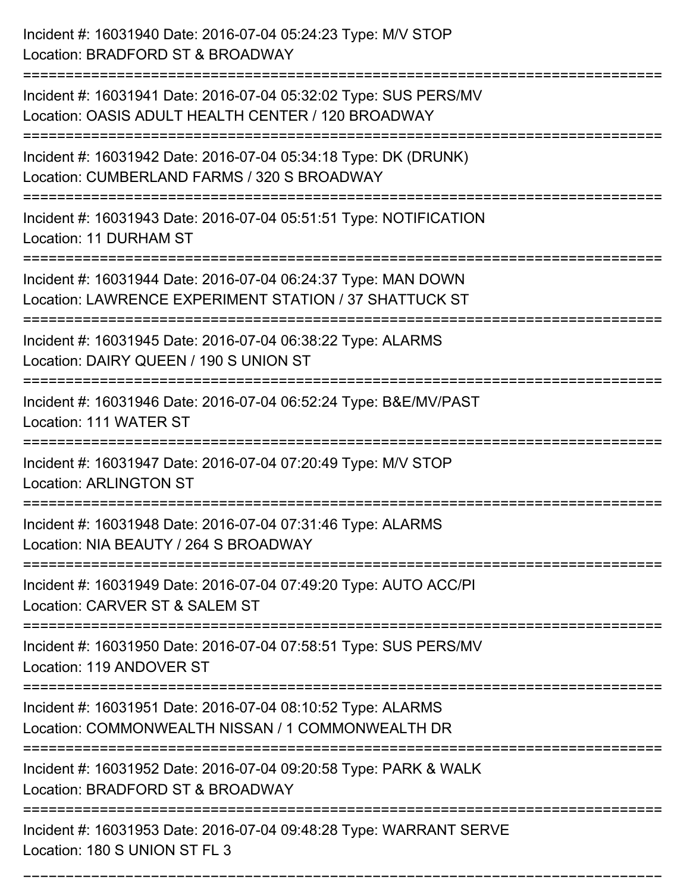| Incident #: 16031940 Date: 2016-07-04 05:24:23 Type: M/V STOP<br>Location: BRADFORD ST & BROADWAY                                    |
|--------------------------------------------------------------------------------------------------------------------------------------|
| Incident #: 16031941 Date: 2016-07-04 05:32:02 Type: SUS PERS/MV<br>Location: OASIS ADULT HEALTH CENTER / 120 BROADWAY               |
| Incident #: 16031942 Date: 2016-07-04 05:34:18 Type: DK (DRUNK)<br>Location: CUMBERLAND FARMS / 320 S BROADWAY<br>================== |
| Incident #: 16031943 Date: 2016-07-04 05:51:51 Type: NOTIFICATION<br>Location: 11 DURHAM ST                                          |
| Incident #: 16031944 Date: 2016-07-04 06:24:37 Type: MAN DOWN<br>Location: LAWRENCE EXPERIMENT STATION / 37 SHATTUCK ST              |
| Incident #: 16031945 Date: 2016-07-04 06:38:22 Type: ALARMS<br>Location: DAIRY QUEEN / 190 S UNION ST                                |
| Incident #: 16031946 Date: 2016-07-04 06:52:24 Type: B&E/MV/PAST<br>Location: 111 WATER ST                                           |
| Incident #: 16031947 Date: 2016-07-04 07:20:49 Type: M/V STOP<br><b>Location: ARLINGTON ST</b>                                       |
| Incident #: 16031948 Date: 2016-07-04 07:31:46 Type: ALARMS<br>Location: NIA BEAUTY / 264 S BROADWAY                                 |
| Incident #: 16031949 Date: 2016-07-04 07:49:20 Type: AUTO ACC/PI<br>Location: CARVER ST & SALEM ST                                   |
| Incident #: 16031950 Date: 2016-07-04 07:58:51 Type: SUS PERS/MV<br>Location: 119 ANDOVER ST<br>------------------------------------ |
| Incident #: 16031951 Date: 2016-07-04 08:10:52 Type: ALARMS<br>Location: COMMONWEALTH NISSAN / 1 COMMONWEALTH DR                     |
| Incident #: 16031952 Date: 2016-07-04 09:20:58 Type: PARK & WALK<br>Location: BRADFORD ST & BROADWAY                                 |
| Incident #: 16031953 Date: 2016-07-04 09:48:28 Type: WARRANT SERVE<br>Location: 180 S UNION ST FL 3                                  |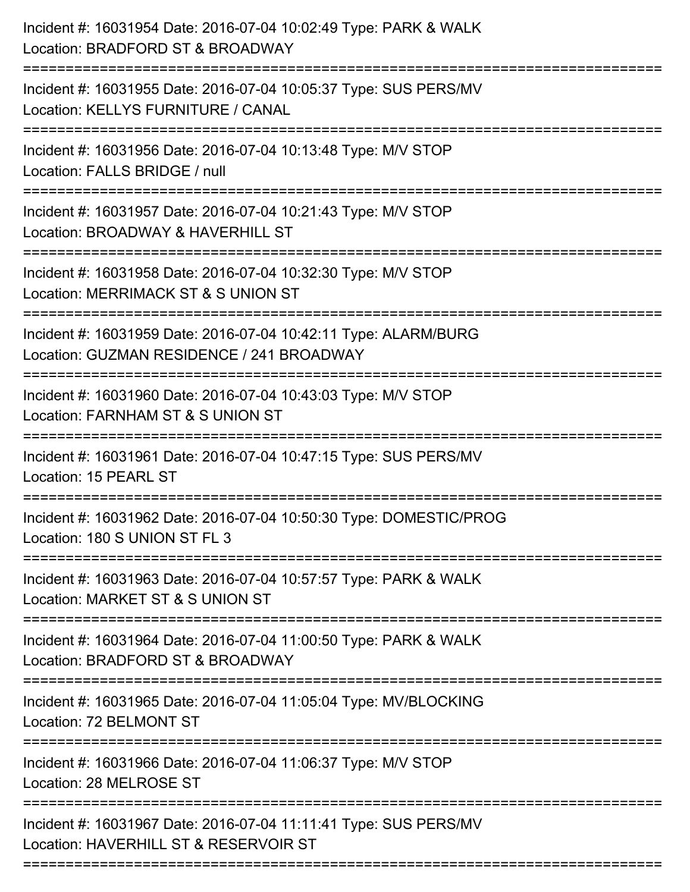| Incident #: 16031954 Date: 2016-07-04 10:02:49 Type: PARK & WALK<br>Location: BRADFORD ST & BROADWAY<br>======================                  |
|-------------------------------------------------------------------------------------------------------------------------------------------------|
| Incident #: 16031955 Date: 2016-07-04 10:05:37 Type: SUS PERS/MV<br>Location: KELLYS FURNITURE / CANAL                                          |
| Incident #: 16031956 Date: 2016-07-04 10:13:48 Type: M/V STOP<br>Location: FALLS BRIDGE / null                                                  |
| Incident #: 16031957 Date: 2016-07-04 10:21:43 Type: M/V STOP<br>Location: BROADWAY & HAVERHILL ST<br>:======================                   |
| Incident #: 16031958 Date: 2016-07-04 10:32:30 Type: M/V STOP<br>Location: MERRIMACK ST & S UNION ST                                            |
| Incident #: 16031959 Date: 2016-07-04 10:42:11 Type: ALARM/BURG<br>Location: GUZMAN RESIDENCE / 241 BROADWAY<br>:============================== |
| Incident #: 16031960 Date: 2016-07-04 10:43:03 Type: M/V STOP<br>Location: FARNHAM ST & S UNION ST                                              |
| Incident #: 16031961 Date: 2016-07-04 10:47:15 Type: SUS PERS/MV<br>Location: 15 PEARL ST                                                       |
| Incident #: 16031962 Date: 2016-07-04 10:50:30 Type: DOMESTIC/PROG<br>Location: 180 S UNION ST FL 3                                             |
| Incident #: 16031963 Date: 2016-07-04 10:57:57 Type: PARK & WALK<br>Location: MARKET ST & S UNION ST                                            |
| Incident #: 16031964 Date: 2016-07-04 11:00:50 Type: PARK & WALK<br>Location: BRADFORD ST & BROADWAY                                            |
| Incident #: 16031965 Date: 2016-07-04 11:05:04 Type: MV/BLOCKING<br>Location: 72 BELMONT ST                                                     |
| Incident #: 16031966 Date: 2016-07-04 11:06:37 Type: M/V STOP<br>Location: 28 MELROSE ST                                                        |
| Incident #: 16031967 Date: 2016-07-04 11:11:41 Type: SUS PERS/MV<br>Location: HAVERHILL ST & RESERVOIR ST                                       |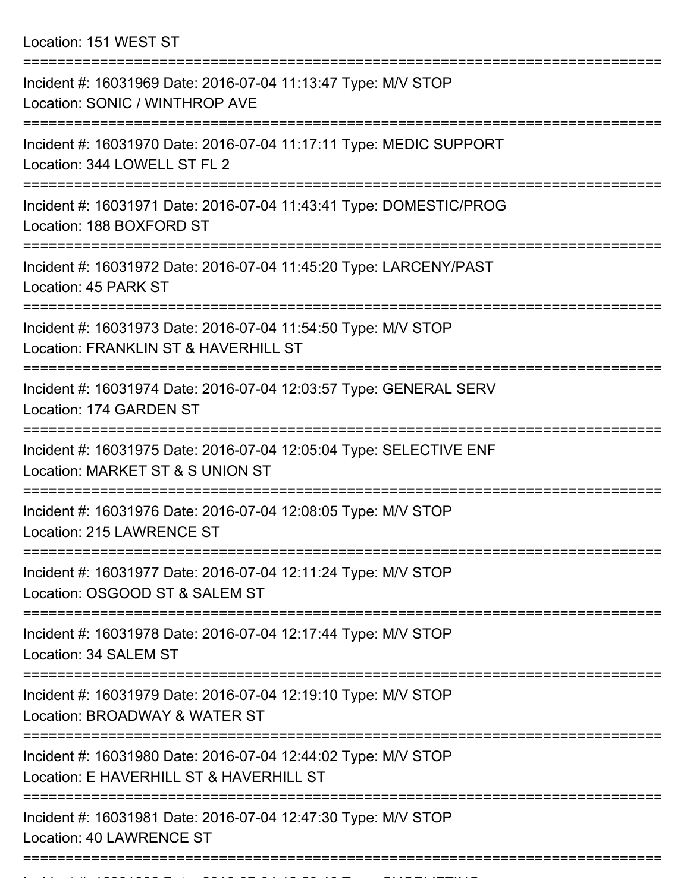Location: 151 WEST ST

| Incident #: 16031969 Date: 2016-07-04 11:13:47 Type: M/V STOP<br>Location: SONIC / WINTHROP AVE                     |
|---------------------------------------------------------------------------------------------------------------------|
| Incident #: 16031970 Date: 2016-07-04 11:17:11 Type: MEDIC SUPPORT<br>Location: 344 LOWELL ST FL 2                  |
| Incident #: 16031971 Date: 2016-07-04 11:43:41 Type: DOMESTIC/PROG<br>Location: 188 BOXFORD ST                      |
| Incident #: 16031972 Date: 2016-07-04 11:45:20 Type: LARCENY/PAST<br>Location: 45 PARK ST<br>---------------------- |
| Incident #: 16031973 Date: 2016-07-04 11:54:50 Type: M/V STOP<br>Location: FRANKLIN ST & HAVERHILL ST               |
| Incident #: 16031974 Date: 2016-07-04 12:03:57 Type: GENERAL SERV<br>Location: 174 GARDEN ST                        |
| Incident #: 16031975 Date: 2016-07-04 12:05:04 Type: SELECTIVE ENF<br>Location: MARKET ST & S UNION ST              |
| Incident #: 16031976 Date: 2016-07-04 12:08:05 Type: M/V STOP<br>Location: 215 LAWRENCE ST                          |
| Incident #: 16031977 Date: 2016-07-04 12:11:24 Type: M/V STOP<br>Location: OSGOOD ST & SALEM ST                     |
| Incident #: 16031978 Date: 2016-07-04 12:17:44 Type: M/V STOP<br>Location: 34 SALEM ST                              |
| Incident #: 16031979 Date: 2016-07-04 12:19:10 Type: M/V STOP<br>Location: BROADWAY & WATER ST                      |
| Incident #: 16031980 Date: 2016-07-04 12:44:02 Type: M/V STOP<br>Location: E HAVERHILL ST & HAVERHILL ST            |
| Incident #: 16031981 Date: 2016-07-04 12:47:30 Type: M/V STOP<br>Location: 40 LAWRENCE ST                           |
|                                                                                                                     |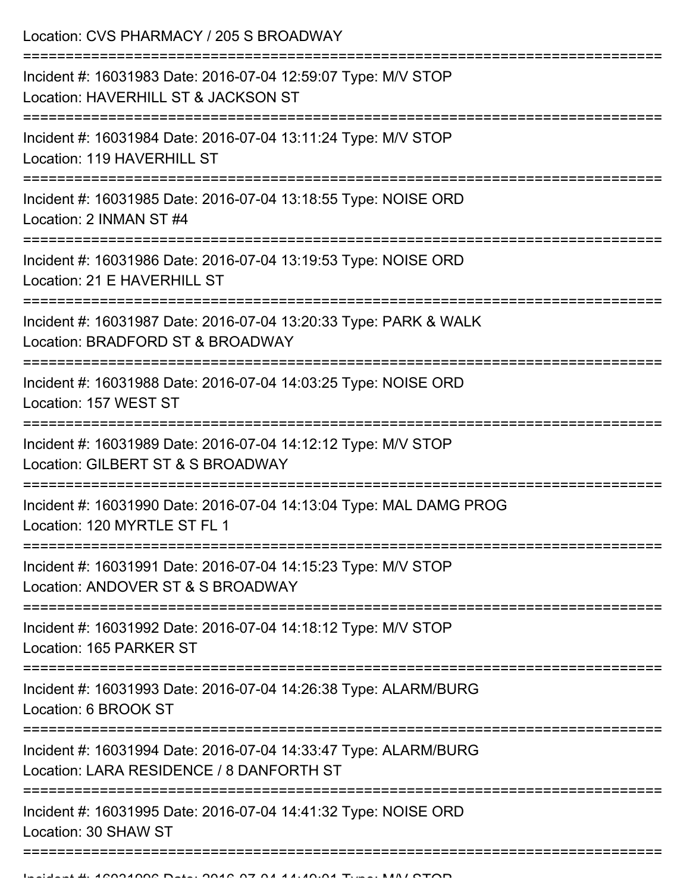Location: CVS PHARMACY / 205 S BROADWAY =========================================================================== Incident #: 16031983 Date: 2016-07-04 12:59:07 Type: M/V STOP Location: HAVERHILL ST & JACKSON ST =========================================================================== Incident #: 16031984 Date: 2016-07-04 13:11:24 Type: M/V STOP Location: 119 HAVERHILL ST =========================================================================== Incident #: 16031985 Date: 2016-07-04 13:18:55 Type: NOISE ORD Location: 2 INMAN ST #4 =========================================================================== Incident #: 16031986 Date: 2016-07-04 13:19:53 Type: NOISE ORD Location: 21 E HAVERHILL ST =========================================================================== Incident #: 16031987 Date: 2016-07-04 13:20:33 Type: PARK & WALK Location: BRADFORD ST & BROADWAY =========================================================================== Incident #: 16031988 Date: 2016-07-04 14:03:25 Type: NOISE ORD Location: 157 WEST ST =========================================================================== Incident #: 16031989 Date: 2016-07-04 14:12:12 Type: M/V STOP Location: GILBERT ST & S BROADWAY =========================================================================== Incident #: 16031990 Date: 2016-07-04 14:13:04 Type: MAL DAMG PROG Location: 120 MYRTLE ST FL 1 =========================================================================== Incident #: 16031991 Date: 2016-07-04 14:15:23 Type: M/V STOP Location: ANDOVER ST & S BROADWAY =========================================================================== Incident #: 16031992 Date: 2016-07-04 14:18:12 Type: M/V STOP Location: 165 PARKER ST =========================================================================== Incident #: 16031993 Date: 2016-07-04 14:26:38 Type: ALARM/BURG Location: 6 BROOK ST =========================================================================== Incident #: 16031994 Date: 2016-07-04 14:33:47 Type: ALARM/BURG Location: LARA RESIDENCE / 8 DANFORTH ST ======================= Incident #: 16031995 Date: 2016-07-04 14:41:32 Type: NOISE ORD Location: 30 SHAW ST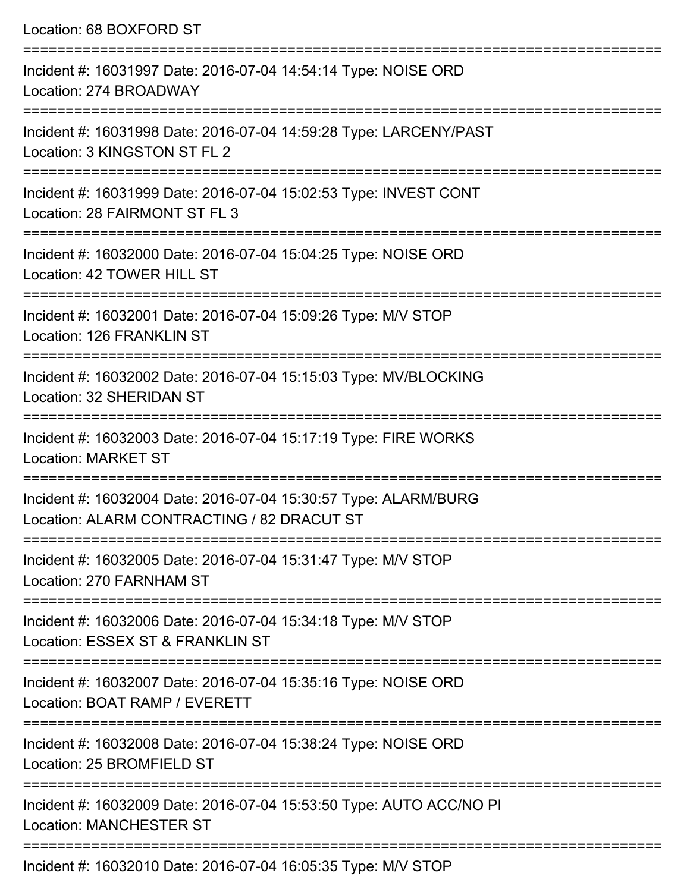Location: 68 BOXFORD ST =========================================================================== Incident #: 16031997 Date: 2016-07-04 14:54:14 Type: NOISE ORD Location: 274 BROADWAY =========================================================================== Incident #: 16031998 Date: 2016-07-04 14:59:28 Type: LARCENY/PAST Location: 3 KINGSTON ST FL 2 =========================================================================== Incident #: 16031999 Date: 2016-07-04 15:02:53 Type: INVEST CONT Location: 28 FAIRMONT ST FL 3 =========================================================================== Incident #: 16032000 Date: 2016-07-04 15:04:25 Type: NOISE ORD Location: 42 TOWER HILL ST =========================================================================== Incident #: 16032001 Date: 2016-07-04 15:09:26 Type: M/V STOP Location: 126 FRANKLIN ST =========================================================================== Incident #: 16032002 Date: 2016-07-04 15:15:03 Type: MV/BLOCKING Location: 32 SHERIDAN ST =========================================================================== Incident #: 16032003 Date: 2016-07-04 15:17:19 Type: FIRE WORKS Location: MARKET ST =========================================================================== Incident #: 16032004 Date: 2016-07-04 15:30:57 Type: ALARM/BURG Location: ALARM CONTRACTING / 82 DRACUT ST =========================================================================== Incident #: 16032005 Date: 2016-07-04 15:31:47 Type: M/V STOP Location: 270 FARNHAM ST =========================================================================== Incident #: 16032006 Date: 2016-07-04 15:34:18 Type: M/V STOP Location: ESSEX ST & FRANKLIN ST =========================================================================== Incident #: 16032007 Date: 2016-07-04 15:35:16 Type: NOISE ORD Location: BOAT RAMP / EVERETT =========================================================================== Incident #: 16032008 Date: 2016-07-04 15:38:24 Type: NOISE ORD Location: 25 BROMFIELD ST =========================================================================== Incident #: 16032009 Date: 2016-07-04 15:53:50 Type: AUTO ACC/NO PI Location: MANCHESTER ST ===========================================================================

Incident #: 16032010 Date: 2016-07-04 16:05:35 Type: M/V STOP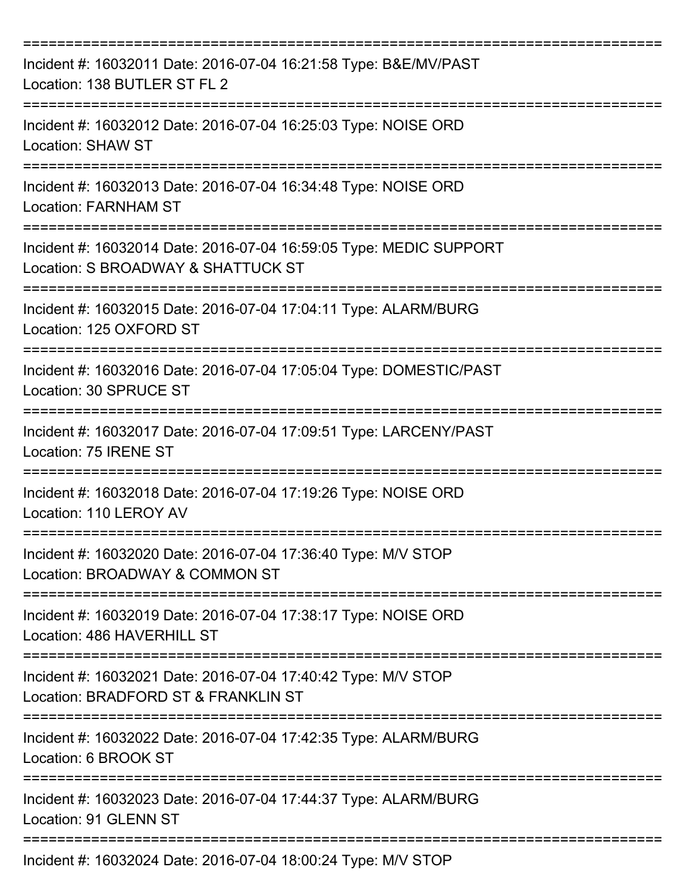| Incident #: 16032011 Date: 2016-07-04 16:21:58 Type: B&E/MV/PAST<br>Location: 138 BUTLER ST FL 2         |
|----------------------------------------------------------------------------------------------------------|
| Incident #: 16032012 Date: 2016-07-04 16:25:03 Type: NOISE ORD<br><b>Location: SHAW ST</b>               |
| Incident #: 16032013 Date: 2016-07-04 16:34:48 Type: NOISE ORD<br><b>Location: FARNHAM ST</b>            |
| Incident #: 16032014 Date: 2016-07-04 16:59:05 Type: MEDIC SUPPORT<br>Location: S BROADWAY & SHATTUCK ST |
| Incident #: 16032015 Date: 2016-07-04 17:04:11 Type: ALARM/BURG<br>Location: 125 OXFORD ST               |
| Incident #: 16032016 Date: 2016-07-04 17:05:04 Type: DOMESTIC/PAST<br>Location: 30 SPRUCE ST             |
| Incident #: 16032017 Date: 2016-07-04 17:09:51 Type: LARCENY/PAST<br>Location: 75 IRENE ST               |
| Incident #: 16032018 Date: 2016-07-04 17:19:26 Type: NOISE ORD<br>Location: 110 LEROY AV                 |
| Incident #: 16032020 Date: 2016-07-04 17:36:40 Type: M/V STOP<br>Location: BROADWAY & COMMON ST          |
| Incident #: 16032019 Date: 2016-07-04 17:38:17 Type: NOISE ORD<br>Location: 486 HAVERHILL ST             |
| Incident #: 16032021 Date: 2016-07-04 17:40:42 Type: M/V STOP<br>Location: BRADFORD ST & FRANKLIN ST     |
| Incident #: 16032022 Date: 2016-07-04 17:42:35 Type: ALARM/BURG<br>Location: 6 BROOK ST                  |
| Incident #: 16032023 Date: 2016-07-04 17:44:37 Type: ALARM/BURG<br>Location: 91 GLENN ST                 |
| Incident #: 16032024 Date: 2016-07-04 18:00:24 Type: M/V STOP                                            |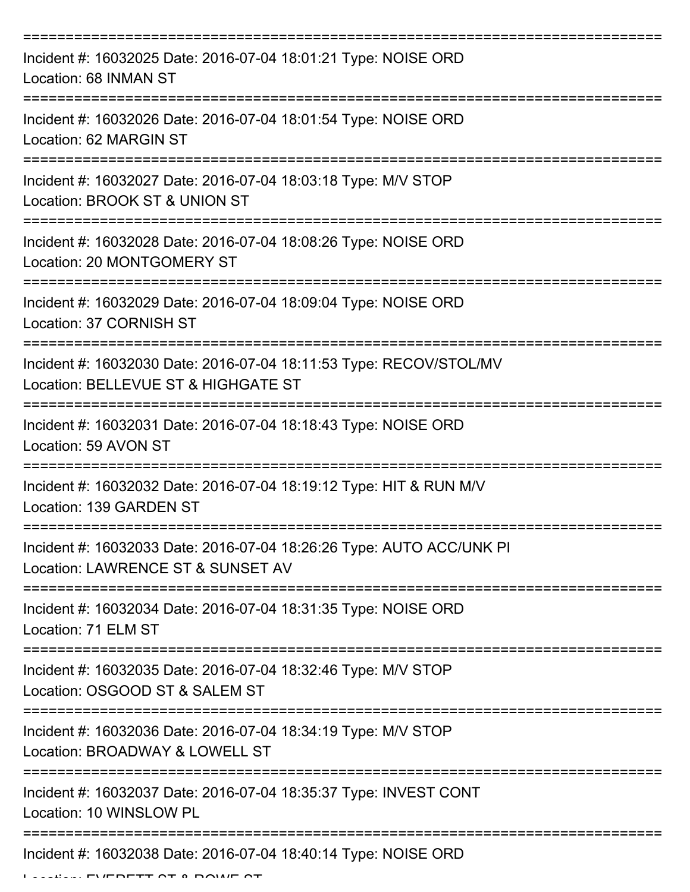| Incident #: 16032025 Date: 2016-07-04 18:01:21 Type: NOISE ORD<br>Location: 68 INMAN ST                   |
|-----------------------------------------------------------------------------------------------------------|
| Incident #: 16032026 Date: 2016-07-04 18:01:54 Type: NOISE ORD<br>Location: 62 MARGIN ST                  |
| Incident #: 16032027 Date: 2016-07-04 18:03:18 Type: M/V STOP<br>Location: BROOK ST & UNION ST            |
| Incident #: 16032028 Date: 2016-07-04 18:08:26 Type: NOISE ORD<br>Location: 20 MONTGOMERY ST              |
| Incident #: 16032029 Date: 2016-07-04 18:09:04 Type: NOISE ORD<br>Location: 37 CORNISH ST                 |
| Incident #: 16032030 Date: 2016-07-04 18:11:53 Type: RECOV/STOL/MV<br>Location: BELLEVUE ST & HIGHGATE ST |
| Incident #: 16032031 Date: 2016-07-04 18:18:43 Type: NOISE ORD<br>Location: 59 AVON ST                    |
| Incident #: 16032032 Date: 2016-07-04 18:19:12 Type: HIT & RUN M/V<br>Location: 139 GARDEN ST             |
| Incident #: 16032033 Date: 2016-07-04 18:26:26 Type: AUTO ACC/UNK PI<br>Location: LAWRENCE ST & SUNSET AV |
| Incident #: 16032034 Date: 2016-07-04 18:31:35 Type: NOISE ORD<br>Location: 71 ELM ST                     |
| Incident #: 16032035 Date: 2016-07-04 18:32:46 Type: M/V STOP<br>Location: OSGOOD ST & SALEM ST           |
| Incident #: 16032036 Date: 2016-07-04 18:34:19 Type: M/V STOP<br>Location: BROADWAY & LOWELL ST           |
| Incident #: 16032037 Date: 2016-07-04 18:35:37 Type: INVEST CONT<br>Location: 10 WINSLOW PL               |
| Incident #: 16032038 Date: 2016-07-04 18:40:14 Type: NOISE ORD                                            |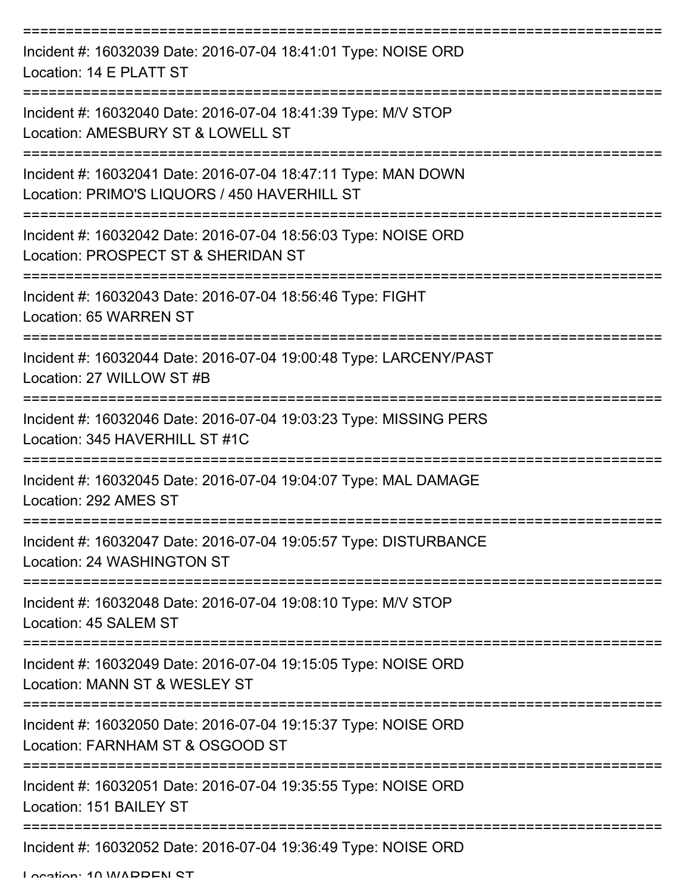| Incident #: 16032039 Date: 2016-07-04 18:41:01 Type: NOISE ORD<br>Location: 14 E PLATT ST                                               |
|-----------------------------------------------------------------------------------------------------------------------------------------|
| Incident #: 16032040 Date: 2016-07-04 18:41:39 Type: M/V STOP<br>Location: AMESBURY ST & LOWELL ST                                      |
| Incident #: 16032041 Date: 2016-07-04 18:47:11 Type: MAN DOWN<br>Location: PRIMO'S LIQUORS / 450 HAVERHILL ST<br>====================== |
| Incident #: 16032042 Date: 2016-07-04 18:56:03 Type: NOISE ORD<br>Location: PROSPECT ST & SHERIDAN ST                                   |
| Incident #: 16032043 Date: 2016-07-04 18:56:46 Type: FIGHT<br>Location: 65 WARREN ST                                                    |
| Incident #: 16032044 Date: 2016-07-04 19:00:48 Type: LARCENY/PAST<br>Location: 27 WILLOW ST #B                                          |
| Incident #: 16032046 Date: 2016-07-04 19:03:23 Type: MISSING PERS<br>Location: 345 HAVERHILL ST #1C                                     |
| Incident #: 16032045 Date: 2016-07-04 19:04:07 Type: MAL DAMAGE<br>Location: 292 AMES ST                                                |
| Incident #: 16032047 Date: 2016-07-04 19:05:57 Type: DISTURBANCE<br>Location: 24 WASHINGTON ST                                          |
| Incident #: 16032048 Date: 2016-07-04 19:08:10 Type: M/V STOP<br>Location: 45 SALEM ST                                                  |
| Incident #: 16032049 Date: 2016-07-04 19:15:05 Type: NOISE ORD<br>Location: MANN ST & WESLEY ST                                         |
| Incident #: 16032050 Date: 2016-07-04 19:15:37 Type: NOISE ORD<br>Location: FARNHAM ST & OSGOOD ST                                      |
| Incident #: 16032051 Date: 2016-07-04 19:35:55 Type: NOISE ORD<br>Location: 151 BAILEY ST                                               |
| Incident #: 16032052 Date: 2016-07-04 19:36:49 Type: NOISE ORD                                                                          |

Location: 10 MADDEN ST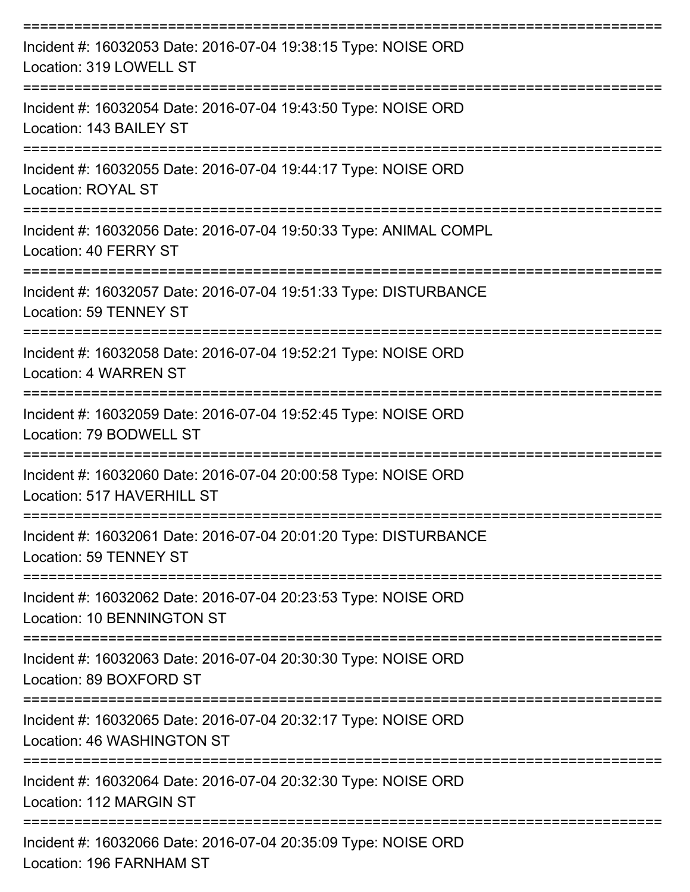| Incident #: 16032053 Date: 2016-07-04 19:38:15 Type: NOISE ORD<br>Location: 319 LOWELL ST                         |
|-------------------------------------------------------------------------------------------------------------------|
| Incident #: 16032054 Date: 2016-07-04 19:43:50 Type: NOISE ORD<br>Location: 143 BAILEY ST                         |
| Incident #: 16032055 Date: 2016-07-04 19:44:17 Type: NOISE ORD<br><b>Location: ROYAL ST</b>                       |
| Incident #: 16032056 Date: 2016-07-04 19:50:33 Type: ANIMAL COMPL<br>Location: 40 FERRY ST<br>------------------- |
| Incident #: 16032057 Date: 2016-07-04 19:51:33 Type: DISTURBANCE<br>Location: 59 TENNEY ST                        |
| Incident #: 16032058 Date: 2016-07-04 19:52:21 Type: NOISE ORD<br>Location: 4 WARREN ST<br>===================    |
| Incident #: 16032059 Date: 2016-07-04 19:52:45 Type: NOISE ORD<br>Location: 79 BODWELL ST                         |
| Incident #: 16032060 Date: 2016-07-04 20:00:58 Type: NOISE ORD<br>Location: 517 HAVERHILL ST                      |
| Incident #: 16032061 Date: 2016-07-04 20:01:20 Type: DISTURBANCE<br>Location: 59 TENNEY ST                        |
| Incident #: 16032062 Date: 2016-07-04 20:23:53 Type: NOISE ORD<br>Location: 10 BENNINGTON ST                      |
| Incident #: 16032063 Date: 2016-07-04 20:30:30 Type: NOISE ORD<br>Location: 89 BOXFORD ST                         |
| Incident #: 16032065 Date: 2016-07-04 20:32:17 Type: NOISE ORD<br>Location: 46 WASHINGTON ST                      |
| Incident #: 16032064 Date: 2016-07-04 20:32:30 Type: NOISE ORD<br>Location: 112 MARGIN ST                         |
| Incident #: 16032066 Date: 2016-07-04 20:35:09 Type: NOISE ORD<br>Location: 106 EADNIHAM ST                       |

Location: 196 FARNHAM ST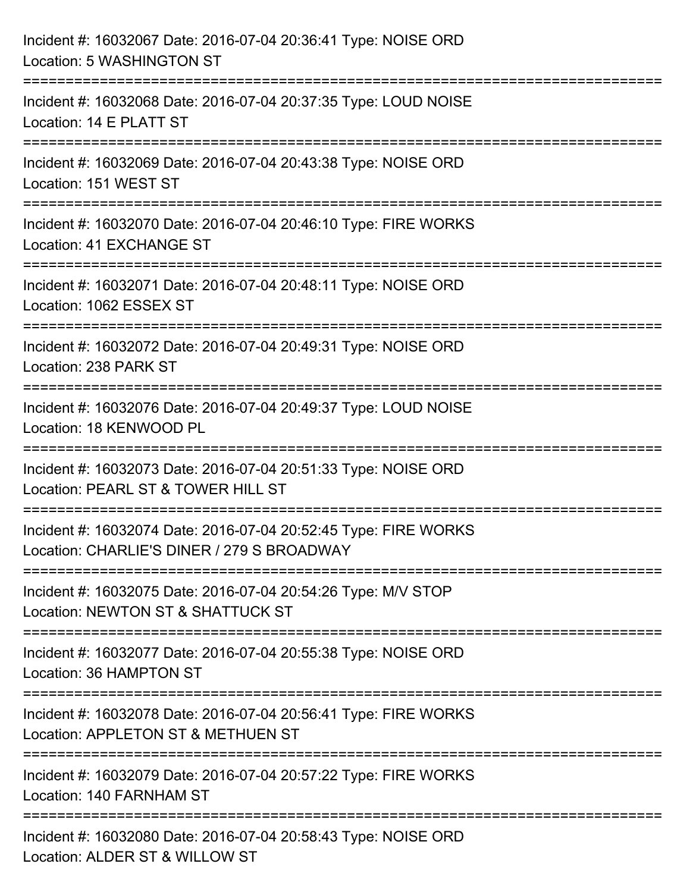| Incident #: 16032067 Date: 2016-07-04 20:36:41 Type: NOISE ORD<br>Location: 5 WASHINGTON ST                                           |
|---------------------------------------------------------------------------------------------------------------------------------------|
| =================================<br>Incident #: 16032068 Date: 2016-07-04 20:37:35 Type: LOUD NOISE<br>Location: 14 E PLATT ST       |
| ==================<br>Incident #: 16032069 Date: 2016-07-04 20:43:38 Type: NOISE ORD<br>Location: 151 WEST ST                         |
| Incident #: 16032070 Date: 2016-07-04 20:46:10 Type: FIRE WORKS<br>Location: 41 EXCHANGE ST<br>:===================================== |
| Incident #: 16032071 Date: 2016-07-04 20:48:11 Type: NOISE ORD<br>Location: 1062 ESSEX ST                                             |
| Incident #: 16032072 Date: 2016-07-04 20:49:31 Type: NOISE ORD<br>Location: 238 PARK ST                                               |
| Incident #: 16032076 Date: 2016-07-04 20:49:37 Type: LOUD NOISE<br>Location: 18 KENWOOD PL                                            |
| Incident #: 16032073 Date: 2016-07-04 20:51:33 Type: NOISE ORD<br>Location: PEARL ST & TOWER HILL ST                                  |
| Incident #: 16032074 Date: 2016-07-04 20:52:45 Type: FIRE WORKS<br>Location: CHARLIE'S DINER / 279 S BROADWAY                         |
| Incident #: 16032075 Date: 2016-07-04 20:54:26 Type: M/V STOP<br>Location: NEWTON ST & SHATTUCK ST                                    |
| Incident #: 16032077 Date: 2016-07-04 20:55:38 Type: NOISE ORD<br>Location: 36 HAMPTON ST                                             |
| Incident #: 16032078 Date: 2016-07-04 20:56:41 Type: FIRE WORKS<br>Location: APPLETON ST & METHUEN ST                                 |
| Incident #: 16032079 Date: 2016-07-04 20:57:22 Type: FIRE WORKS<br>Location: 140 FARNHAM ST                                           |
| Incident #: 16032080 Date: 2016-07-04 20:58:43 Type: NOISE ORD<br>Location: ALDER ST & WILLOW ST                                      |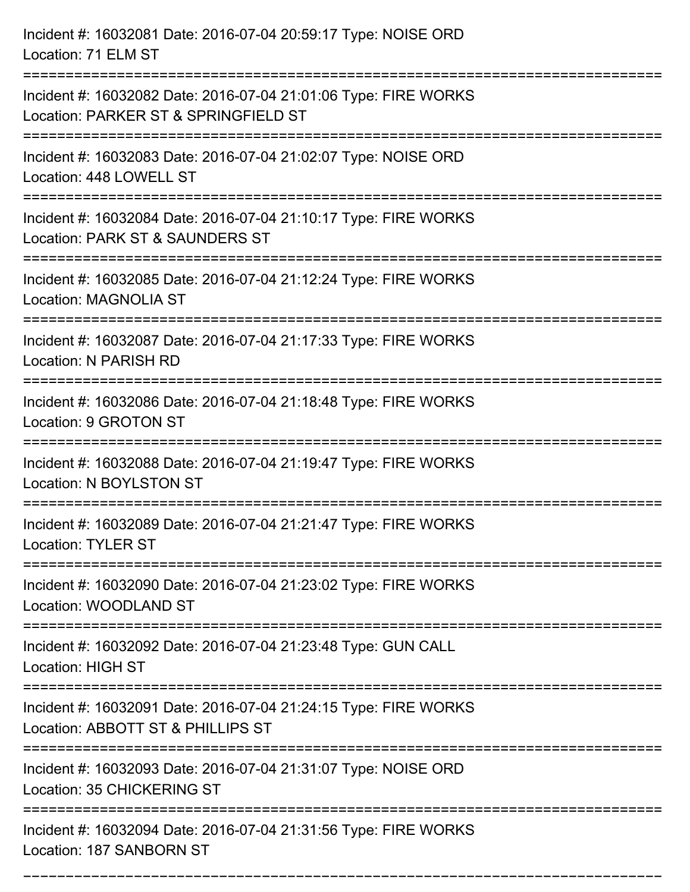| Incident #: 16032081 Date: 2016-07-04 20:59:17 Type: NOISE ORD<br>Location: 71 ELM ST                                        |
|------------------------------------------------------------------------------------------------------------------------------|
| Incident #: 16032082 Date: 2016-07-04 21:01:06 Type: FIRE WORKS<br>Location: PARKER ST & SPRINGFIELD ST                      |
| Incident #: 16032083 Date: 2016-07-04 21:02:07 Type: NOISE ORD<br>Location: 448 LOWELL ST                                    |
| Incident #: 16032084 Date: 2016-07-04 21:10:17 Type: FIRE WORKS<br>Location: PARK ST & SAUNDERS ST                           |
| Incident #: 16032085 Date: 2016-07-04 21:12:24 Type: FIRE WORKS<br><b>Location: MAGNOLIA ST</b>                              |
| Incident #: 16032087 Date: 2016-07-04 21:17:33 Type: FIRE WORKS<br>Location: N PARISH RD                                     |
| Incident #: 16032086 Date: 2016-07-04 21:18:48 Type: FIRE WORKS<br>Location: 9 GROTON ST                                     |
| Incident #: 16032088 Date: 2016-07-04 21:19:47 Type: FIRE WORKS<br>Location: N BOYLSTON ST                                   |
| Incident #: 16032089 Date: 2016-07-04 21:21:47 Type: FIRE WORKS<br><b>Location: TYLER ST</b>                                 |
| Incident #: 16032090 Date: 2016-07-04 21:23:02 Type: FIRE WORKS<br>Location: WOODLAND ST                                     |
| Incident #: 16032092 Date: 2016-07-04 21:23:48 Type: GUN CALL<br><b>Location: HIGH ST</b>                                    |
| Incident #: 16032091 Date: 2016-07-04 21:24:15 Type: FIRE WORKS<br>Location: ABBOTT ST & PHILLIPS ST<br>:=================== |
| Incident #: 16032093 Date: 2016-07-04 21:31:07 Type: NOISE ORD<br>Location: 35 CHICKERING ST                                 |
| Incident #: 16032094 Date: 2016-07-04 21:31:56 Type: FIRE WORKS<br>Location: 187 SANBORN ST                                  |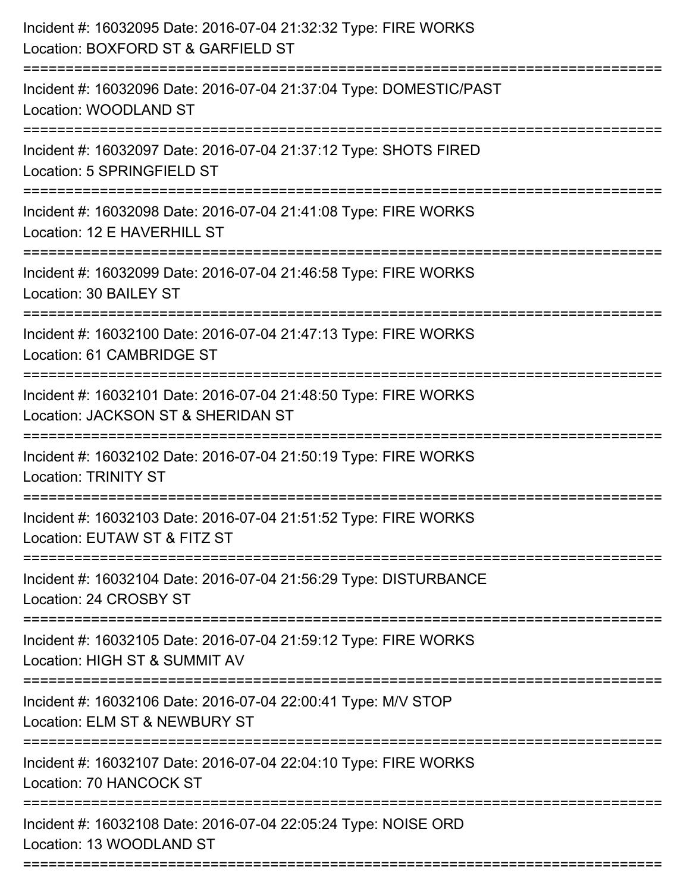| Incident #: 16032095 Date: 2016-07-04 21:32:32 Type: FIRE WORKS<br>Location: BOXFORD ST & GARFIELD ST<br>.---------------------- |
|----------------------------------------------------------------------------------------------------------------------------------|
| Incident #: 16032096 Date: 2016-07-04 21:37:04 Type: DOMESTIC/PAST<br>Location: WOODLAND ST                                      |
| Incident #: 16032097 Date: 2016-07-04 21:37:12 Type: SHOTS FIRED<br>Location: 5 SPRINGFIELD ST<br>:========================      |
| Incident #: 16032098 Date: 2016-07-04 21:41:08 Type: FIRE WORKS<br>Location: 12 E HAVERHILL ST                                   |
| Incident #: 16032099 Date: 2016-07-04 21:46:58 Type: FIRE WORKS<br>Location: 30 BAILEY ST                                        |
| Incident #: 16032100 Date: 2016-07-04 21:47:13 Type: FIRE WORKS<br>Location: 61 CAMBRIDGE ST                                     |
| Incident #: 16032101 Date: 2016-07-04 21:48:50 Type: FIRE WORKS<br>Location: JACKSON ST & SHERIDAN ST                            |
| Incident #: 16032102 Date: 2016-07-04 21:50:19 Type: FIRE WORKS<br><b>Location: TRINITY ST</b>                                   |
| Incident #: 16032103 Date: 2016-07-04 21:51:52 Type: FIRE WORKS<br>Location: EUTAW ST & FITZ ST<br>==========                    |
| Incident #: 16032104 Date: 2016-07-04 21:56:29 Type: DISTURBANCE<br>Location: 24 CROSBY ST                                       |
| Incident #: 16032105 Date: 2016-07-04 21:59:12 Type: FIRE WORKS<br>Location: HIGH ST & SUMMIT AV                                 |
| Incident #: 16032106 Date: 2016-07-04 22:00:41 Type: M/V STOP<br>Location: ELM ST & NEWBURY ST                                   |
| Incident #: 16032107 Date: 2016-07-04 22:04:10 Type: FIRE WORKS<br>Location: 70 HANCOCK ST                                       |
| Incident #: 16032108 Date: 2016-07-04 22:05:24 Type: NOISE ORD<br>Location: 13 WOODLAND ST                                       |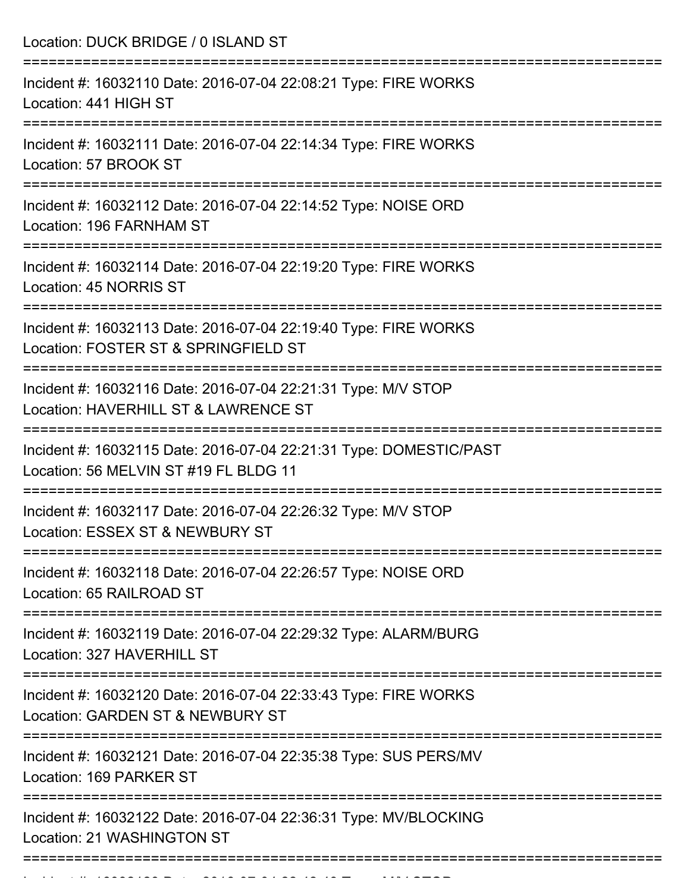| Location: DUCK BRIDGE / 0 ISLAND ST<br>--------------------                                                                          |
|--------------------------------------------------------------------------------------------------------------------------------------|
| Incident #: 16032110 Date: 2016-07-04 22:08:21 Type: FIRE WORKS<br>Location: 441 HIGH ST                                             |
| Incident #: 16032111 Date: 2016-07-04 22:14:34 Type: FIRE WORKS<br>Location: 57 BROOK ST                                             |
| Incident #: 16032112 Date: 2016-07-04 22:14:52 Type: NOISE ORD<br>Location: 196 FARNHAM ST                                           |
| Incident #: 16032114 Date: 2016-07-04 22:19:20 Type: FIRE WORKS<br>Location: 45 NORRIS ST                                            |
| Incident #: 16032113 Date: 2016-07-04 22:19:40 Type: FIRE WORKS<br>Location: FOSTER ST & SPRINGFIELD ST                              |
| Incident #: 16032116 Date: 2016-07-04 22:21:31 Type: M/V STOP<br>Location: HAVERHILL ST & LAWRENCE ST<br>:========================== |
| Incident #: 16032115 Date: 2016-07-04 22:21:31 Type: DOMESTIC/PAST<br>Location: 56 MELVIN ST #19 FL BLDG 11                          |
| Incident #: 16032117 Date: 2016-07-04 22:26:32 Type: M/V STOP<br>Location: ESSEX ST & NEWBURY ST                                     |
| Incident #: 16032118 Date: 2016-07-04 22:26:57 Type: NOISE ORD<br>Location: 65 RAILROAD ST                                           |
| Incident #: 16032119 Date: 2016-07-04 22:29:32 Type: ALARM/BURG<br>Location: 327 HAVERHILL ST                                        |
| Incident #: 16032120 Date: 2016-07-04 22:33:43 Type: FIRE WORKS<br>Location: GARDEN ST & NEWBURY ST                                  |
| Incident #: 16032121 Date: 2016-07-04 22:35:38 Type: SUS PERS/MV<br>Location: 169 PARKER ST                                          |
| Incident #: 16032122 Date: 2016-07-04 22:36:31 Type: MV/BLOCKING<br>Location: 21 WASHINGTON ST                                       |

Incident #: 16032123 Date: 2016 07 04 22:42:43 Type: M/V STOP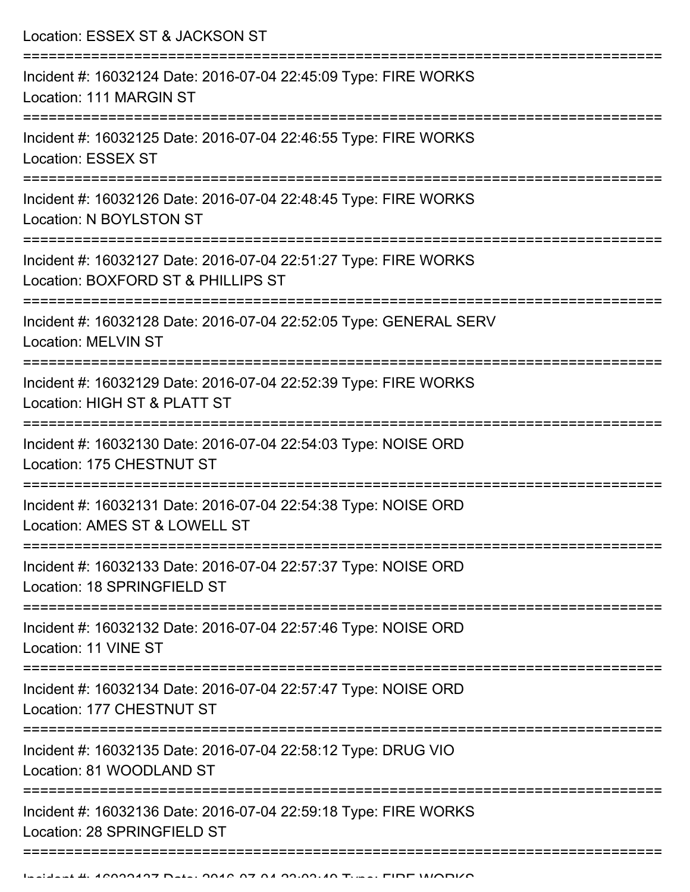Location: ESSEX ST & JACKSON ST =========================================================================== Incident #: 16032124 Date: 2016-07-04 22:45:09 Type: FIRE WORKS Location: 111 MARGIN ST =========================================================================== Incident #: 16032125 Date: 2016-07-04 22:46:55 Type: FIRE WORKS Location: ESSEX ST =========================================================================== Incident #: 16032126 Date: 2016-07-04 22:48:45 Type: FIRE WORKS Location: N BOYLSTON ST =========================================================================== Incident #: 16032127 Date: 2016-07-04 22:51:27 Type: FIRE WORKS Location: BOXFORD ST & PHILLIPS ST =========================================================================== Incident #: 16032128 Date: 2016-07-04 22:52:05 Type: GENERAL SERV Location: MELVIN ST =========================================================================== Incident #: 16032129 Date: 2016-07-04 22:52:39 Type: FIRE WORKS Location: HIGH ST & PLATT ST =========================================================================== Incident #: 16032130 Date: 2016-07-04 22:54:03 Type: NOISE ORD Location: 175 CHESTNUT ST =========================================================================== Incident #: 16032131 Date: 2016-07-04 22:54:38 Type: NOISE ORD Location: AMES ST & LOWELL ST =========================================================================== Incident #: 16032133 Date: 2016-07-04 22:57:37 Type: NOISE ORD Location: 18 SPRINGFIELD ST =========================================================================== Incident #: 16032132 Date: 2016-07-04 22:57:46 Type: NOISE ORD Location: 11 VINE ST =========================================================================== Incident #: 16032134 Date: 2016-07-04 22:57:47 Type: NOISE ORD Location: 177 CHESTNUT ST =========================================================================== Incident #: 16032135 Date: 2016-07-04 22:58:12 Type: DRUG VIO Location: 81 WOODLAND ST =========================================================================== Incident #: 16032136 Date: 2016-07-04 22:59:18 Type: FIRE WORKS Location: 28 SPRINGFIELD ST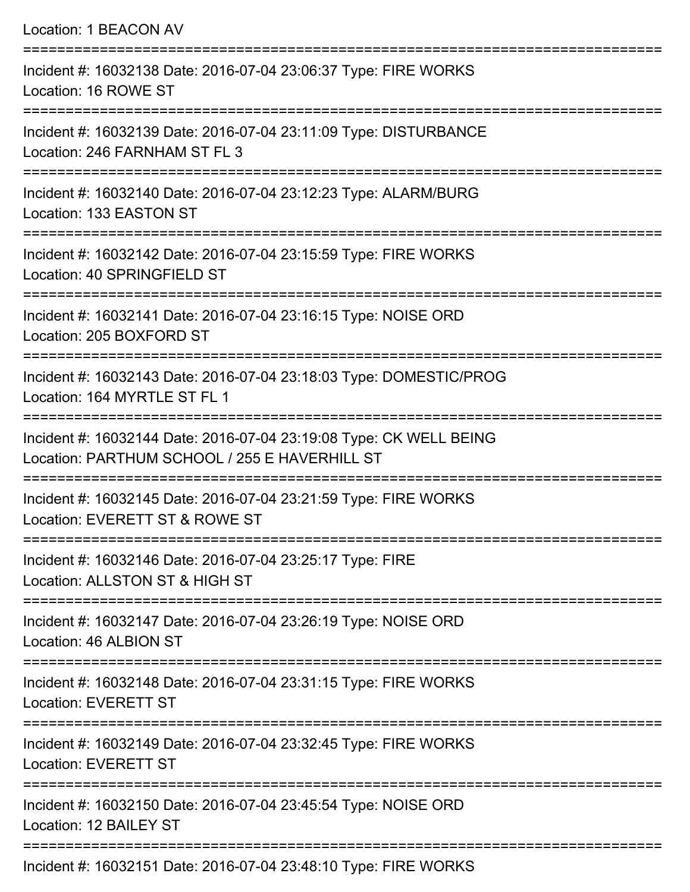| Location: 1 BEACON AV                                                                                                                                      |
|------------------------------------------------------------------------------------------------------------------------------------------------------------|
| Incident #: 16032138 Date: 2016-07-04 23:06:37 Type: FIRE WORKS<br>Location: 16 ROWE ST                                                                    |
| Incident #: 16032139 Date: 2016-07-04 23:11:09 Type: DISTURBANCE<br>Location: 246 FARNHAM ST FL 3                                                          |
| Incident #: 16032140 Date: 2016-07-04 23:12:23 Type: ALARM/BURG<br>Location: 133 EASTON ST<br>====================================<br>-------------------- |
| Incident #: 16032142 Date: 2016-07-04 23:15:59 Type: FIRE WORKS<br>Location: 40 SPRINGFIELD ST                                                             |
| Incident #: 16032141 Date: 2016-07-04 23:16:15 Type: NOISE ORD<br>Location: 205 BOXFORD ST                                                                 |
| =================================<br>Incident #: 16032143 Date: 2016-07-04 23:18:03 Type: DOMESTIC/PROG<br>Location: 164 MYRTLE ST FL 1                    |
| Incident #: 16032144 Date: 2016-07-04 23:19:08 Type: CK WELL BEING<br>Location: PARTHUM SCHOOL / 255 E HAVERHILL ST                                        |
| Incident #: 16032145 Date: 2016-07-04 23:21:59 Type: FIRE WORKS<br>Location: EVERETT ST & ROWE ST                                                          |
| Incident #: 16032146 Date: 2016-07-04 23:25:17 Type: FIRE<br>Location: ALLSTON ST & HIGH ST                                                                |
| Incident #: 16032147 Date: 2016-07-04 23:26:19 Type: NOISE ORD<br>Location: 46 ALBION ST                                                                   |
| Incident #: 16032148 Date: 2016-07-04 23:31:15 Type: FIRE WORKS<br><b>Location: EVERETT ST</b>                                                             |
| Incident #: 16032149 Date: 2016-07-04 23:32:45 Type: FIRE WORKS<br><b>Location: EVERETT ST</b>                                                             |
| Incident #: 16032150 Date: 2016-07-04 23:45:54 Type: NOISE ORD<br>Location: 12 BAILEY ST                                                                   |
|                                                                                                                                                            |

Incident #: 16032151 Date: 2016-07-04 23:48:10 Type: FIRE WORKS